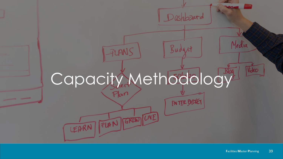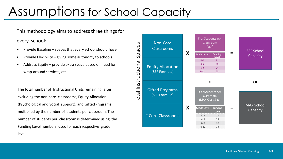## Assumptions for School Capacity

This methodology aims to address three things for

every school:

- Provide Baseline spaces that every school should have
- Provide Flexibility giving some autonomy to schools
- Address Equity provide extra space based on need for wrap-around services, etc.

The total number of Instructional Units remaining after excluding the non-core classrooms, Equity Allocation (Psychological and Social support), and GiftedPrograms multiplied by the number of students per classroom. The number of students per classroom is determinedusing the Funding Level numbers used for each respective grade level.

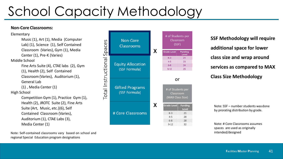## School Capacity Methodology

## **Non-Core Classrooms:**

Elementary

Music (1), Art (1), Media (Computer Lab) (1), Science (1), Self Contained Classroom (Varies), Gym (1), Media Center (1), Pre-K (Varies) Middle School Fine Arts Suite (4), CTAE labs (2), Gym (1), Health (2), Self Contained Classroom(Varies), Auditorium (1), General Lab (1) , Media Center (1) High School Competition Gym (1), Practice Gym (1), Health (2), JROTC Suite (2), Fine Arts Suite (Art, Music, etc.)(6), Self Contained Classroom (Varies), Auditorium (1), CTAE Labs (3), Media Center (1)

Note: Self-contained classrooms vary based on school and regional Special Education program designations



**SSF Methodology will require additional space for lower class size and wrap around services as compared to MAX Class Size Methodology**

Note: SSF – number students wasdone by prorating distribution by grade.

Note: # Core Classrooms assumes spaces are used as originally intended/designed